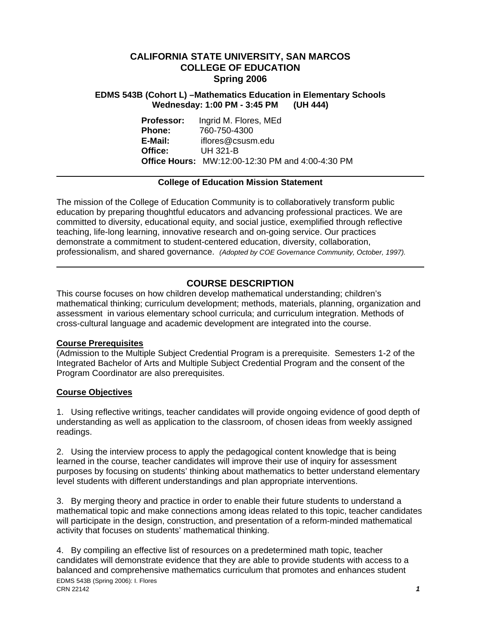## **CALIFORNIA STATE UNIVERSITY, SAN MARCOS COLLEGE OF EDUCATION Spring 2006**

### **EDMS 543B (Cohort L) –Mathematics Education in Elementary Schools Wednesday: 1:00 PM - 3:45 PM (UH 444)**

**Professor:** Ingrid M. Flores, MEd **Phone:** 760-750-4300 **E-Mail:** iflores@csusm.edu **Office:** UH 321-B **Office Hours:** MW:12:00-12:30 PM and 4:00-4:30 PM

### **College of Education Mission Statement**

The mission of the College of Education Community is to collaboratively transform public education by preparing thoughtful educators and advancing professional practices. We are committed to diversity, educational equity, and social justice, exemplified through reflective teaching, life-long learning, innovative research and on-going service. Our practices demonstrate a commitment to student-centered education, diversity, collaboration, professionalism, and shared governance. *(Adopted by COE Governance Community, October, 1997).* 

# **COURSE DESCRIPTION**

This course focuses on how children develop mathematical understanding; children's mathematical thinking; curriculum development; methods, materials, planning, organization and assessment in various elementary school curricula; and curriculum integration. Methods of cross-cultural language and academic development are integrated into the course.

## **Course Prerequisites**

(Admission to the Multiple Subject Credential Program is a prerequisite. Semesters 1-2 of the Integrated Bachelor of Arts and Multiple Subject Credential Program and the consent of the Program Coordinator are also prerequisites.

## **Course Objectives**

1. Using reflective writings, teacher candidates will provide ongoing evidence of good depth of understanding as well as application to the classroom, of chosen ideas from weekly assigned readings.

2. Using the interview process to apply the pedagogical content knowledge that is being learned in the course, teacher candidates will improve their use of inquiry for assessment purposes by focusing on students' thinking about mathematics to better understand elementary level students with different understandings and plan appropriate interventions.

3. By merging theory and practice in order to enable their future students to understand a mathematical topic and make connections among ideas related to this topic, teacher candidates will participate in the design, construction, and presentation of a reform-minded mathematical activity that focuses on students' mathematical thinking.

EDMS 543B (Spring 2006): I. Flores CRN 22142 *1* 4. By compiling an effective list of resources on a predetermined math topic, teacher candidates will demonstrate evidence that they are able to provide students with access to a balanced and comprehensive mathematics curriculum that promotes and enhances student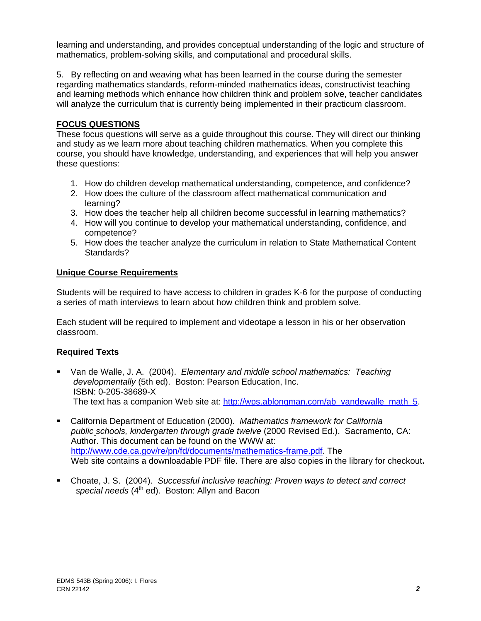learning and understanding, and provides conceptual understanding of the logic and structure of mathematics, problem-solving skills, and computational and procedural skills.

5. By reflecting on and weaving what has been learned in the course during the semester regarding mathematics standards, reform-minded mathematics ideas, constructivist teaching and learning methods which enhance how children think and problem solve, teacher candidates will analyze the curriculum that is currently being implemented in their practicum classroom.

## **FOCUS QUESTIONS**

These focus questions will serve as a guide throughout this course. They will direct our thinking and study as we learn more about teaching children mathematics. When you complete this course, you should have knowledge, understanding, and experiences that will help you answer these questions:

- 1. How do children develop mathematical understanding, competence, and confidence?
- 2. How does the culture of the classroom affect mathematical communication and learning?
- 3. How does the teacher help all children become successful in learning mathematics?
- 4. How will you continue to develop your mathematical understanding, confidence, and competence?
- 5. How does the teacher analyze the curriculum in relation to State Mathematical Content Standards?

### **Unique Course Requirements**

Students will be required to have access to children in grades K-6 for the purpose of conducting a series of math interviews to learn about how children think and problem solve.

Each student will be required to implement and videotape a lesson in his or her observation classroom.

## **Required Texts**

- Van de Walle, J. A. (2004). *Elementary and middle school mathematics: Teaching developmentally* (5th ed). Boston: Pearson Education, Inc. ISBN: 0-205-38689-X The text has a companion Web site at: http://wps.ablongman.com/ab\_vandewalle\_math\_5.
- California Department of Education (2000). *Mathematics framework for California public schools, kindergarten through grade twelve* (2000 Revised Ed.). Sacramento, CA: Author. This document can be found on the WWW at: http://www.cde.ca.gov/re/pn/fd/documents/mathematics-frame.pdf. The Web site contains a downloadable PDF file. There are also copies in the library for checkout**.**
- Choate, J. S. (2004). *Successful inclusive teaching: Proven ways to detect and correct*  special needs (4<sup>th</sup> ed). Boston: Allyn and Bacon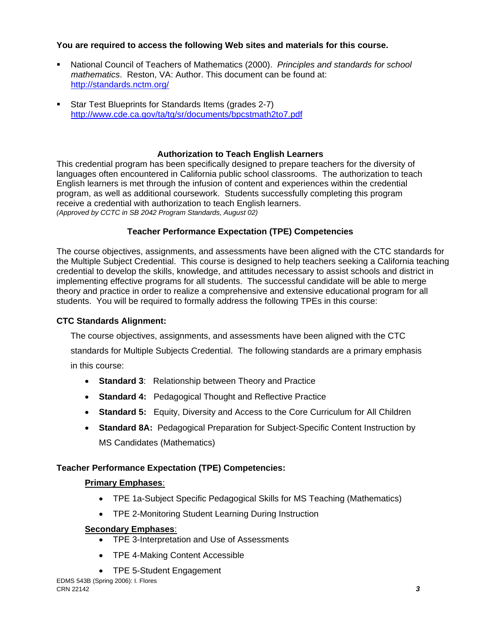## **You are required to access the following Web sites and materials for this course.**

- National Council of Teachers of Mathematics (2000). *Principles and standards for school mathematics*. Reston, VA: Author. This document can be found at: http://standards.nctm.org/
- Star Test Blueprints for Standards Items (grades 2-7) http://www.cde.ca.gov/ta/tg/sr/documents/bpcstmath2to7.pdf

## **Authorization to Teach English Learners**

This credential program has been specifically designed to prepare teachers for the diversity of languages often encountered in California public school classrooms. The authorization to teach English learners is met through the infusion of content and experiences within the credential program, as well as additional coursework. Students successfully completing this program receive a credential with authorization to teach English learners. *(Approved by CCTC in SB 2042 Program Standards, August 02)*

## **Teacher Performance Expectation (TPE) Competencies**

The course objectives, assignments, and assessments have been aligned with the CTC standards for the Multiple Subject Credential. This course is designed to help teachers seeking a California teaching credential to develop the skills, knowledge, and attitudes necessary to assist schools and district in implementing effective programs for all students. The successful candidate will be able to merge theory and practice in order to realize a comprehensive and extensive educational program for all students. You will be required to formally address the following TPEs in this course:

## **CTC Standards Alignment:**

The course objectives, assignments, and assessments have been aligned with the CTC standards for Multiple Subjects Credential. The following standards are a primary emphasis in this course:

- **Standard 3**: Relationship between Theory and Practice
- **Standard 4:** Pedagogical Thought and Reflective Practice
- **Standard 5:** Equity, Diversity and Access to the Core Curriculum for All Children
- **Standard 8A:** Pedagogical Preparation for Subject-Specific Content Instruction by MS Candidates (Mathematics)

# **Teacher Performance Expectation (TPE) Competencies:**

## **Primary Emphases**:

- TPE 1a-Subject Specific Pedagogical Skills for MS Teaching (Mathematics)
- TPE 2-Monitoring Student Learning During Instruction

## **Secondary Emphases**:

- TPE 3-Interpretation and Use of Assessments
- TPE 4-Making Content Accessible
- TPE 5-Student Engagement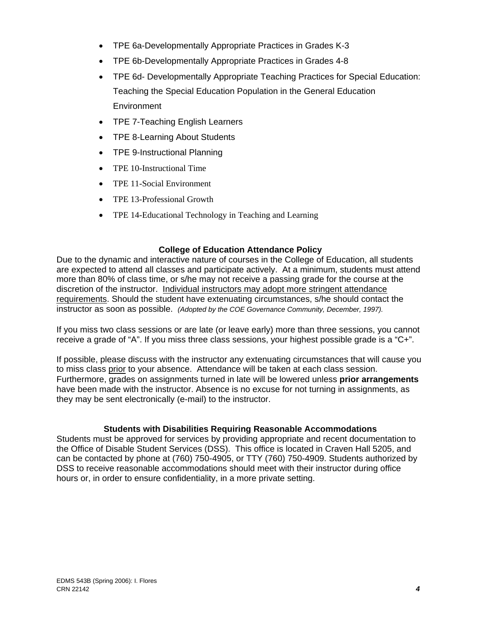- TPE 6a-Developmentally Appropriate Practices in Grades K-3
- TPE 6b-Developmentally Appropriate Practices in Grades 4-8
- TPE 6d- Developmentally Appropriate Teaching Practices for Special Education: Teaching the Special Education Population in the General Education **Environment**
- TPE 7-Teaching English Learners
- TPE 8-Learning About Students
- TPE 9-Instructional Planning
- TPE 10-Instructional Time
- TPE 11-Social Environment
- TPE 13-Professional Growth
- TPE 14-Educational Technology in Teaching and Learning

### **College of Education Attendance Policy**

Due to the dynamic and interactive nature of courses in the College of Education, all students are expected to attend all classes and participate actively. At a minimum, students must attend more than 80% of class time, or s/he may not receive a passing grade for the course at the discretion of the instructor. Individual instructors may adopt more stringent attendance requirements. Should the student have extenuating circumstances, s/he should contact the instructor as soon as possible. *(Adopted by the COE Governance Community, December, 1997).*

If you miss two class sessions or are late (or leave early) more than three sessions, you cannot receive a grade of "A". If you miss three class sessions, your highest possible grade is a "C+".

If possible, please discuss with the instructor any extenuating circumstances that will cause you to miss class prior to your absence. Attendance will be taken at each class session. Furthermore, grades on assignments turned in late will be lowered unless **prior arrangements**  have been made with the instructor. Absence is no excuse for not turning in assignments, as they may be sent electronically (e-mail) to the instructor.

### **Students with Disabilities Requiring Reasonable Accommodations**

Students must be approved for services by providing appropriate and recent documentation to the Office of Disable Student Services (DSS). This office is located in Craven Hall 5205, and can be contacted by phone at (760) 750-4905, or TTY (760) 750-4909. Students authorized by DSS to receive reasonable accommodations should meet with their instructor during office hours or, in order to ensure confidentiality, in a more private setting.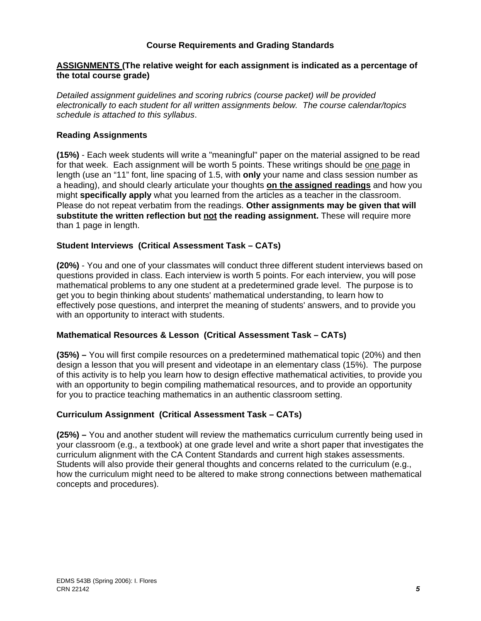### **Course Requirements and Grading Standards**

### **ASSIGNMENTS (The relative weight for each assignment is indicated as a percentage of the total course grade)**

*Detailed assignment guidelines and scoring rubrics (course packet) will be provided electronically to each student for all written assignments below. The course calendar/topics schedule is attached to this syllabus*.

### **Reading Assignments**

**(15%)** - Each week students will write a "meaningful" paper on the material assigned to be read for that week. Each assignment will be worth 5 points. These writings should be one page in length (use an "11" font, line spacing of 1.5, with **only** your name and class session number as a heading), and should clearly articulate your thoughts **on the assigned readings** and how you might **specifically apply** what you learned from the articles as a teacher in the classroom. Please do not repeat verbatim from the readings. **Other assignments may be given that will substitute the written reflection but not the reading assignment.** These will require more than 1 page in length.

### **Student Interviews (Critical Assessment Task – CATs)**

**(20%)** - You and one of your classmates will conduct three different student interviews based on questions provided in class. Each interview is worth 5 points. For each interview, you will pose mathematical problems to any one student at a predetermined grade level. The purpose is to get you to begin thinking about students' mathematical understanding, to learn how to effectively pose questions, and interpret the meaning of students' answers, and to provide you with an opportunity to interact with students.

### **Mathematical Resources & Lesson (Critical Assessment Task – CATs)**

**(35%) –** You will first compile resources on a predetermined mathematical topic (20%) and then design a lesson that you will present and videotape in an elementary class (15%). The purpose of this activity is to help you learn how to design effective mathematical activities, to provide you with an opportunity to begin compiling mathematical resources, and to provide an opportunity for you to practice teaching mathematics in an authentic classroom setting.

### **Curriculum Assignment (Critical Assessment Task – CATs)**

**(25%) –** You and another student will review the mathematics curriculum currently being used in your classroom (e.g., a textbook) at one grade level and write a short paper that investigates the curriculum alignment with the CA Content Standards and current high stakes assessments. Students will also provide their general thoughts and concerns related to the curriculum (e.g., how the curriculum might need to be altered to make strong connections between mathematical concepts and procedures).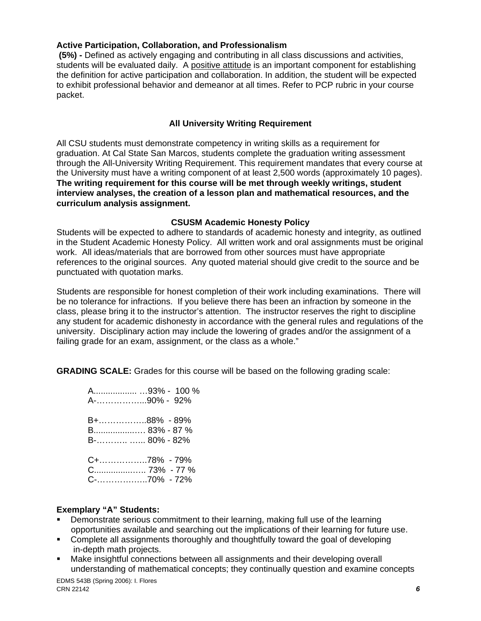### **Active Participation, Collaboration, and Professionalism**

 **(5%) -** Defined as actively engaging and contributing in all class discussions and activities, students will be evaluated daily. A positive attitude is an important component for establishing the definition for active participation and collaboration. In addition, the student will be expected to exhibit professional behavior and demeanor at all times. Refer to PCP rubric in your course packet.

## **All University Writing Requirement**

All CSU students must demonstrate competency in writing skills as a requirement for graduation. At Cal State San Marcos, students complete the graduation writing assessment through the All-University Writing Requirement. This requirement mandates that every course at the University must have a writing component of at least 2,500 words (approximately 10 pages). **The writing requirement for this course will be met through weekly writings, student interview analyses, the creation of a lesson plan and mathematical resources, and the curriculum analysis assignment.**

### **CSUSM Academic Honesty Policy**

Students will be expected to adhere to standards of academic honesty and integrity, as outlined in the Student Academic Honesty Policy. All written work and oral assignments must be original work. All ideas/materials that are borrowed from other sources must have appropriate references to the original sources. Any quoted material should give credit to the source and be punctuated with quotation marks.

Students are responsible for honest completion of their work including examinations. There will be no tolerance for infractions. If you believe there has been an infraction by someone in the class, please bring it to the instructor's attention. The instructor reserves the right to discipline any student for academic dishonesty in accordance with the general rules and regulations of the university. Disciplinary action may include the lowering of grades and/or the assignment of a failing grade for an exam, assignment, or the class as a whole."

**GRADING SCALE:** Grades for this course will be based on the following grading scale:

| A93% - 100 %<br>A-90% - 92%                      |
|--------------------------------------------------|
| B+88% - 89%<br>B 83% - 87 %<br>$B = 80\% - 82\%$ |
| C+78% - 79%                                      |

### **Exemplary "A" Students:**

- Demonstrate serious commitment to their learning, making full use of the learning opportunities available and searching out the implications of their learning for future use.
- Complete all assignments thoroughly and thoughtfully toward the goal of developing in-depth math projects.
- Make insightful connections between all assignments and their developing overall understanding of mathematical concepts; they continually question and examine concepts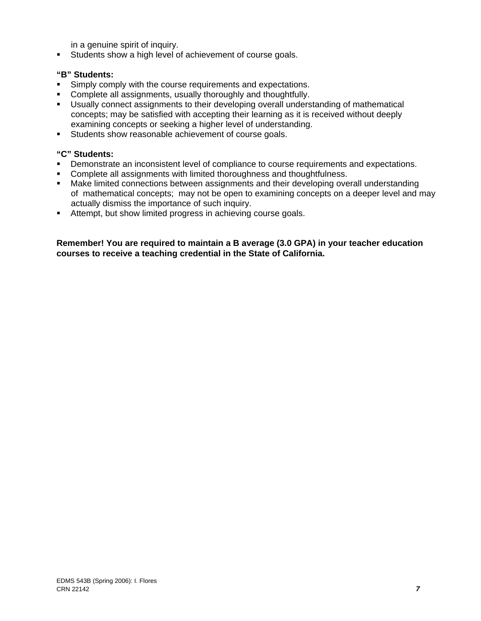in a genuine spirit of inquiry.

Students show a high level of achievement of course goals.

### **"B" Students:**

- **Simply comply with the course requirements and expectations.**
- Complete all assignments, usually thoroughly and thoughtfully.
- Usually connect assignments to their developing overall understanding of mathematical concepts; may be satisfied with accepting their learning as it is received without deeply examining concepts or seeking a higher level of understanding.
- Students show reasonable achievement of course goals.

#### **"C" Students:**

- **•** Demonstrate an inconsistent level of compliance to course requirements and expectations.
- Complete all assignments with limited thoroughness and thoughtfulness.
- Make limited connections between assignments and their developing overall understanding of mathematical concepts; may not be open to examining concepts on a deeper level and may actually dismiss the importance of such inquiry.
- Attempt, but show limited progress in achieving course goals.

#### **Remember! You are required to maintain a B average (3.0 GPA) in your teacher education courses to receive a teaching credential in the State of California.**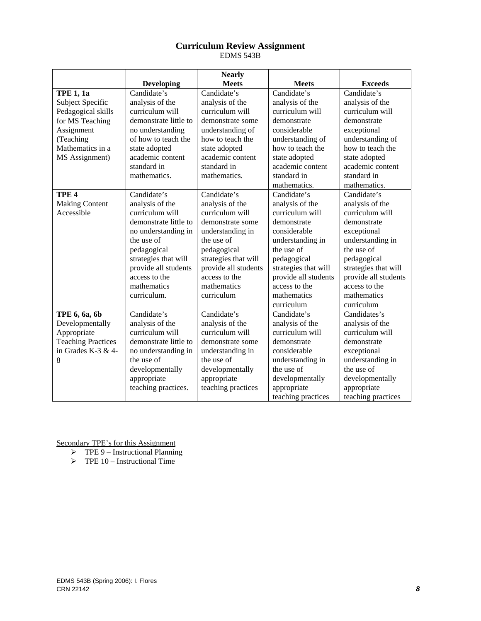#### **Curriculum Review Assignment**  EDMS 543B

|                           |                       | <b>Nearly</b>        |                      |                      |
|---------------------------|-----------------------|----------------------|----------------------|----------------------|
|                           | <b>Developing</b>     | <b>Meets</b>         | <b>Meets</b>         | <b>Exceeds</b>       |
| <b>TPE 1, 1a</b>          | Candidate's           | Candidate's          | Candidate's          | Candidate's          |
| Subject Specific          | analysis of the       | analysis of the      | analysis of the      | analysis of the      |
| Pedagogical skills        | curriculum will       | curriculum will      | curriculum will      | curriculum will      |
| for MS Teaching           | demonstrate little to | demonstrate some     | demonstrate          | demonstrate          |
| Assignment                | no understanding      | understanding of     | considerable         | exceptional          |
| (Teaching                 | of how to teach the   | how to teach the     | understanding of     | understanding of     |
| Mathematics in a          | state adopted         | state adopted        | how to teach the     | how to teach the     |
| MS Assignment)            | academic content      | academic content     | state adopted        | state adopted        |
|                           | standard in           | standard in          | academic content     | academic content     |
|                           | mathematics.          | mathematics.         | standard in          | standard in          |
|                           |                       |                      | mathematics.         | mathematics.         |
| TPE <sub>4</sub>          | Candidate's           | Candidate's          | Candidate's          | Candidate's          |
| <b>Making Content</b>     | analysis of the       | analysis of the      | analysis of the      | analysis of the      |
| Accessible                | curriculum will       | curriculum will      | curriculum will      | curriculum will      |
|                           | demonstrate little to | demonstrate some     | demonstrate          | demonstrate          |
|                           | no understanding in   | understanding in     | considerable         | exceptional          |
|                           | the use of            | the use of           | understanding in     | understanding in     |
|                           | pedagogical           | pedagogical          | the use of           | the use of           |
|                           | strategies that will  | strategies that will | pedagogical          | pedagogical          |
|                           | provide all students  | provide all students | strategies that will | strategies that will |
|                           | access to the         | access to the        | provide all students | provide all students |
|                           | mathematics           | mathematics          | access to the        | access to the        |
|                           | curriculum.           | curriculum           | mathematics          | mathematics          |
|                           |                       |                      | curriculum           | curriculum           |
| TPE 6, 6a, 6b             | Candidate's           | Candidate's          | Candidate's          | Candidates's         |
| Developmentally           | analysis of the       | analysis of the      | analysis of the      | analysis of the      |
| Appropriate               | curriculum will       | curriculum will      | curriculum will      | curriculum will      |
| <b>Teaching Practices</b> | demonstrate little to | demonstrate some     | demonstrate          | demonstrate          |
| in Grades K-3 & 4-        | no understanding in   | understanding in     | considerable         | exceptional          |
| 8                         | the use of            | the use of           | understanding in     | understanding in     |
|                           | developmentally       | developmentally      | the use of           | the use of           |
|                           | appropriate           | appropriate          | developmentally      | developmentally      |
|                           | teaching practices.   | teaching practices   | appropriate          | appropriate          |
|                           |                       |                      | teaching practices   | teaching practices   |

Secondary TPE's for this Assignment

- $\triangleright$  TPE 9 Instructional Planning
- $\triangleright$  TPE 10 Instructional Time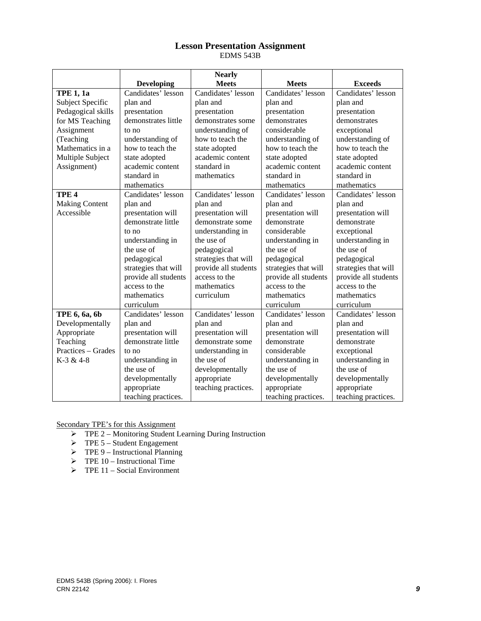#### **Lesson Presentation Assignment**  EDMS 543B

|                       |                      | <b>Nearly</b>        |                      |                      |
|-----------------------|----------------------|----------------------|----------------------|----------------------|
|                       | <b>Developing</b>    | <b>Meets</b>         | <b>Meets</b>         | <b>Exceeds</b>       |
| <b>TPE 1, 1a</b>      | Candidates' lesson   | Candidates' lesson   | Candidates' lesson   | Candidates' lesson   |
| Subject Specific      | plan and             | plan and             | plan and             | plan and             |
| Pedagogical skills    | presentation         | presentation         | presentation         | presentation         |
| for MS Teaching       | demonstrates little  | demonstrates some    | demonstrates         | demonstrates         |
| Assignment            | to no                | understanding of     | considerable         | exceptional          |
| (Teaching             | understanding of     | how to teach the     | understanding of     | understanding of     |
| Mathematics in a      | how to teach the     | state adopted        | how to teach the     | how to teach the     |
| Multiple Subject      | state adopted        | academic content     | state adopted        | state adopted        |
| Assignment)           | academic content     | standard in          | academic content     | academic content     |
|                       | standard in          | mathematics          | standard in          | standard in          |
|                       | mathematics          |                      | mathematics          | mathematics          |
| TPE <sub>4</sub>      | Candidates' lesson   | Candidates' lesson   | Candidates' lesson   | Candidates' lesson   |
| <b>Making Content</b> | plan and             | plan and             | plan and             | plan and             |
| Accessible            | presentation will    | presentation will    | presentation will    | presentation will    |
|                       | demonstrate little   | demonstrate some     | demonstrate          | demonstrate          |
|                       | to no                | understanding in     | considerable         | exceptional          |
|                       | understanding in     | the use of           | understanding in     | understanding in     |
|                       | the use of           | pedagogical          | the use of           | the use of           |
|                       | pedagogical          | strategies that will | pedagogical          | pedagogical          |
|                       | strategies that will | provide all students | strategies that will | strategies that will |
|                       | provide all students | access to the        | provide all students | provide all students |
|                       | access to the        | mathematics          | access to the        | access to the        |
|                       | mathematics          | curriculum           | mathematics          | mathematics          |
|                       | curriculum           |                      | curriculum           | curriculum           |
| TPE 6, 6a, 6b         | Candidates' lesson   | Candidates' lesson   | Candidates' lesson   | Candidates' lesson   |
| Developmentally       | plan and             | plan and             | plan and             | plan and             |
| Appropriate           | presentation will    | presentation will    | presentation will    | presentation will    |
| Teaching              | demonstrate little   | demonstrate some     | demonstrate          | demonstrate          |
| Practices – Grades    | to no                | understanding in     | considerable         | exceptional          |
| K-3 & 4-8             | understanding in     | the use of           | understanding in     | understanding in     |
|                       | the use of           | developmentally      | the use of           | the use of           |
|                       | developmentally      | appropriate          | developmentally      | developmentally      |
|                       | appropriate          | teaching practices.  | appropriate          | appropriate          |
|                       | teaching practices.  |                      | teaching practices.  | teaching practices.  |

Secondary TPE's for this Assignment

- ¾ TPE 2 Monitoring Student Learning During Instruction
- $\triangleright$  TPE 5 Student Engagement
- $\triangleright$  TPE 9 Instructional Planning
- $\triangleright$  TPE 10 Instructional Time
- $\triangleright$  TPE 11 Social Environment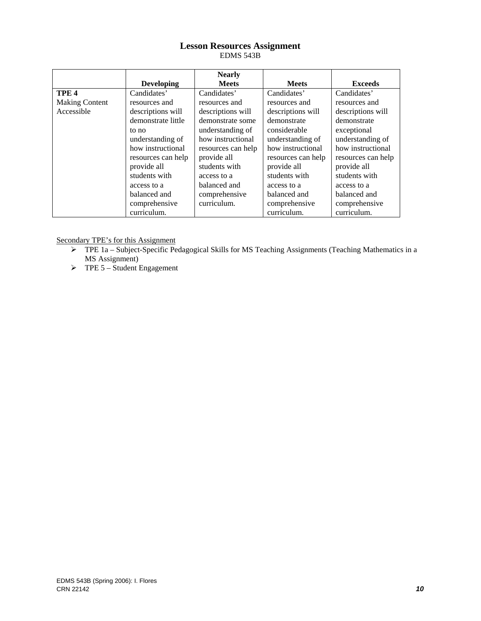#### **Lesson Resources Assignment**  EDMS 543B

|                       |                    | <b>Nearly</b>      |                    |                    |
|-----------------------|--------------------|--------------------|--------------------|--------------------|
|                       | <b>Developing</b>  | <b>Meets</b>       | <b>Meets</b>       | <b>Exceeds</b>     |
| TPE <sub>4</sub>      | Candidates'        | Candidates'        | Candidates'        | Candidates'        |
| <b>Making Content</b> | resources and      | resources and      | resources and      | resources and      |
| Accessible            | descriptions will  | descriptions will  | descriptions will  | descriptions will  |
|                       | demonstrate little | demonstrate some   | demonstrate        | demonstrate        |
|                       | to no              | understanding of   | considerable       | exceptional        |
|                       | understanding of   | how instructional  | understanding of   | understanding of   |
|                       | how instructional  | resources can help | how instructional  | how instructional  |
|                       | resources can help | provide all        | resources can help | resources can help |
|                       | provide all        | students with      | provide all        | provide all        |
|                       | students with      | access to a        | students with      | students with      |
|                       | access to a        | balanced and       | access to a        | access to a        |
|                       | balanced and       | comprehensive      | balanced and       | balanced and       |
|                       | comprehensive      | curriculum.        | comprehensive      | comprehensive      |
|                       | curriculum.        |                    | curriculum.        | curriculum.        |

Secondary TPE's for this Assignment

- ¾ TPE 1a Subject-Specific Pedagogical Skills for MS Teaching Assignments (Teaching Mathematics in a MS Assignment)
- $\triangleright$  TPE 5 Student Engagement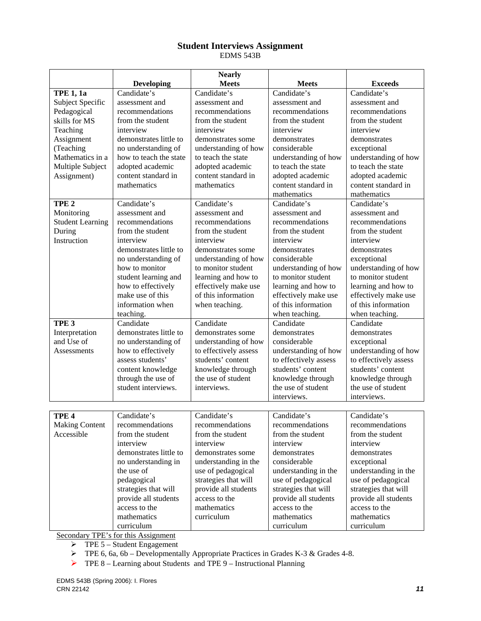#### **Student Interviews Assignment**  EDMS 543B

|                         |                        | <b>Nearly</b>         |                       |                       |
|-------------------------|------------------------|-----------------------|-----------------------|-----------------------|
|                         | <b>Developing</b>      | <b>Meets</b>          | <b>Meets</b>          | <b>Exceeds</b>        |
| <b>TPE 1, 1a</b>        | Candidate's            | Candidate's           | Candidate's           | Candidate's           |
| Subject Specific        | assessment and         | assessment and        | assessment and        | assessment and        |
| Pedagogical             | recommendations        | recommendations       | recommendations       | recommendations       |
| skills for MS           | from the student       | from the student      | from the student      | from the student      |
| Teaching                | interview              | interview             | interview             | interview             |
| Assignment              | demonstrates little to | demonstrates some     | demonstrates          | demonstrates          |
| (Teaching               | no understanding of    | understanding of how  | considerable          | exceptional           |
| Mathematics in a        | how to teach the state | to teach the state    | understanding of how  | understanding of how  |
| Multiple Subject        | adopted academic       | adopted academic      | to teach the state    | to teach the state    |
| Assignment)             | content standard in    | content standard in   | adopted academic      | adopted academic      |
|                         | mathematics            | mathematics           | content standard in   | content standard in   |
|                         |                        |                       | mathematics           | mathematics           |
| TPE <sub>2</sub>        | Candidate's            | Candidate's           | Candidate's           | Candidate's           |
| Monitoring              | assessment and         | assessment and        | assessment and        | assessment and        |
| <b>Student Learning</b> | recommendations        | recommendations       | recommendations       | recommendations       |
| During                  | from the student       | from the student      | from the student      | from the student      |
| Instruction             | interview              | interview             | interview             | interview             |
|                         | demonstrates little to | demonstrates some     | demonstrates          | demonstrates          |
|                         | no understanding of    | understanding of how  | considerable          | exceptional           |
|                         | how to monitor         | to monitor student    | understanding of how  | understanding of how  |
|                         | student learning and   | learning and how to   | to monitor student    | to monitor student    |
|                         | how to effectively     | effectively make use  | learning and how to   | learning and how to   |
|                         | make use of this       | of this information   | effectively make use  | effectively make use  |
|                         | information when       | when teaching.        | of this information   | of this information   |
|                         | teaching.              |                       | when teaching.        | when teaching.        |
| TPE <sub>3</sub>        | Candidate              | Candidate             | Candidate             | Candidate             |
| Interpretation          | demonstrates little to | demonstrates some     | demonstrates          | demonstrates          |
| and Use of              | no understanding of    | understanding of how  | considerable          | exceptional           |
| <b>Assessments</b>      | how to effectively     | to effectively assess | understanding of how  | understanding of how  |
|                         | assess students'       | students' content     | to effectively assess | to effectively assess |
|                         | content knowledge      | knowledge through     | students' content     | students' content     |
|                         | through the use of     | the use of student    | knowledge through     | knowledge through     |
|                         | student interviews.    | interviews.           | the use of student    | the use of student    |
|                         |                        |                       | interviews.           | interviews.           |
|                         |                        |                       |                       |                       |
| TPE <sub>4</sub>        | Candidate's            | Candidate's           | Candidate's           | Candidate's           |
| <b>Making Content</b>   | recommendations        | recommendations       | recommendations       | recommendations       |
| Accessible              | from the student       | from the student      | from the student      | from the student      |
|                         | interview              | interview             | interview             | interview             |
|                         | demonstrates little to | demonstrates some     | demonstrates          | demonstrates          |
|                         | no understanding in    | understanding in the  | considerable          | exceptional           |
|                         | the use of             | use of pedagogical    | understanding in the  | understanding in the  |
|                         | pedagogical            | strategies that will  | use of pedagogical    | use of pedagogical    |
|                         | strategies that will   | provide all students  | strategies that will  | strategies that will  |
|                         | provide all students   | access to the         | provide all students  | provide all students  |
|                         | access to the          | mathematics           | access to the         | access to the         |
|                         | mathematics            | curriculum            | mathematics           | mathematics           |
|                         | curriculum             |                       | curriculum            | curriculum            |

Secondary TPE's for this Assignment

 $\triangleright$  TPE 5 – Student Engagement

¾ TPE 6, 6a, 6b – Developmentally Appropriate Practices in Grades K-3 & Grades 4-8.

¾ TPE 8 – Learning about Students and TPE 9 – Instructional Planning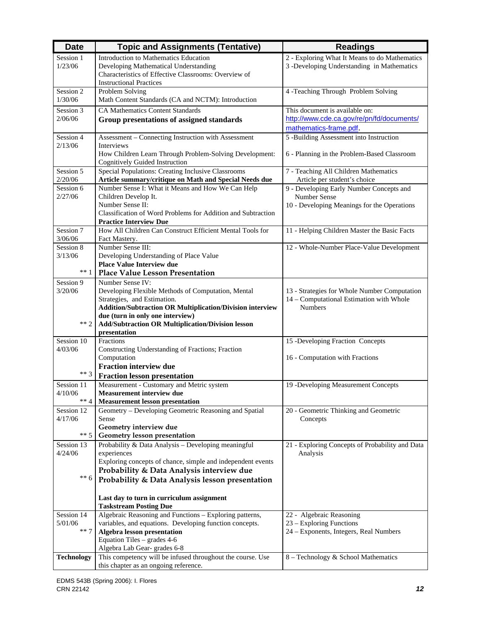| 2 - Exploring What It Means to do Mathematics<br>Introduction to Mathematics Education<br>Session 1<br>3 -Developing Understanding in Mathematics<br>1/23/06<br>Developing Mathematical Understanding<br>Characteristics of Effective Classrooms: Overview of<br><b>Instructional Practices</b><br>Session 2<br>Problem Solving<br>4 -Teaching Through Problem Solving<br>1/30/06<br>Math Content Standards (CA and NCTM): Introduction<br>This document is available on:<br><b>CA Mathematics Content Standards</b><br>Session 3 |  |
|-----------------------------------------------------------------------------------------------------------------------------------------------------------------------------------------------------------------------------------------------------------------------------------------------------------------------------------------------------------------------------------------------------------------------------------------------------------------------------------------------------------------------------------|--|
|                                                                                                                                                                                                                                                                                                                                                                                                                                                                                                                                   |  |
|                                                                                                                                                                                                                                                                                                                                                                                                                                                                                                                                   |  |
|                                                                                                                                                                                                                                                                                                                                                                                                                                                                                                                                   |  |
|                                                                                                                                                                                                                                                                                                                                                                                                                                                                                                                                   |  |
|                                                                                                                                                                                                                                                                                                                                                                                                                                                                                                                                   |  |
|                                                                                                                                                                                                                                                                                                                                                                                                                                                                                                                                   |  |
|                                                                                                                                                                                                                                                                                                                                                                                                                                                                                                                                   |  |
| http://www.cde.ca.gov/re/pn/fd/documents/<br>2/06/06<br>Group presentations of assigned standards                                                                                                                                                                                                                                                                                                                                                                                                                                 |  |
| mathematics-frame.pdf.<br>Session 4<br>Assessment - Connecting Instruction with Assessment<br>5 -Building Assessment into Instruction                                                                                                                                                                                                                                                                                                                                                                                             |  |
| 2/13/06<br>Interviews                                                                                                                                                                                                                                                                                                                                                                                                                                                                                                             |  |
| How Children Learn Through Problem-Solving Development:<br>6 - Planning in the Problem-Based Classroom                                                                                                                                                                                                                                                                                                                                                                                                                            |  |
| <b>Cognitively Guided Instruction</b>                                                                                                                                                                                                                                                                                                                                                                                                                                                                                             |  |
| Special Populations: Creating Inclusive Classrooms<br>Session 5<br>7 - Teaching All Children Mathematics                                                                                                                                                                                                                                                                                                                                                                                                                          |  |
| 2/20/06<br>Article summary/critique on Math and Special Needs due<br>Article per student's choice                                                                                                                                                                                                                                                                                                                                                                                                                                 |  |
| Number Sense I: What it Means and How We Can Help<br>9 - Developing Early Number Concepts and<br>Session 6                                                                                                                                                                                                                                                                                                                                                                                                                        |  |
| Number Sense<br>2/27/06<br>Children Develop It.                                                                                                                                                                                                                                                                                                                                                                                                                                                                                   |  |
| Number Sense II:<br>10 - Developing Meanings for the Operations                                                                                                                                                                                                                                                                                                                                                                                                                                                                   |  |
| Classification of Word Problems for Addition and Subtraction<br><b>Practice Interview Due</b>                                                                                                                                                                                                                                                                                                                                                                                                                                     |  |
| Session 7<br>How All Children Can Construct Efficient Mental Tools for<br>11 - Helping Children Master the Basic Facts                                                                                                                                                                                                                                                                                                                                                                                                            |  |
| 3/06/06<br>Fact Mastery.                                                                                                                                                                                                                                                                                                                                                                                                                                                                                                          |  |
| Number Sense III:<br>Session 8<br>12 - Whole-Number Place-Value Development                                                                                                                                                                                                                                                                                                                                                                                                                                                       |  |
| 3/13/06<br>Developing Understanding of Place Value                                                                                                                                                                                                                                                                                                                                                                                                                                                                                |  |
| <b>Place Value Interview due</b>                                                                                                                                                                                                                                                                                                                                                                                                                                                                                                  |  |
| $**1$<br><b>Place Value Lesson Presentation</b>                                                                                                                                                                                                                                                                                                                                                                                                                                                                                   |  |
| Number Sense IV:<br>Session 9                                                                                                                                                                                                                                                                                                                                                                                                                                                                                                     |  |
| 3/20/06<br>Developing Flexible Methods of Computation, Mental<br>13 - Strategies for Whole Number Computation                                                                                                                                                                                                                                                                                                                                                                                                                     |  |
| Strategies, and Estimation.<br>14 - Computational Estimation with Whole<br><b>Numbers</b><br><b>Addition/Subtraction OR Multiplication/Division interview</b>                                                                                                                                                                                                                                                                                                                                                                     |  |
| due (turn in only one interview)                                                                                                                                                                                                                                                                                                                                                                                                                                                                                                  |  |
| $** 2$<br><b>Add/Subtraction OR Multiplication/Division lesson</b>                                                                                                                                                                                                                                                                                                                                                                                                                                                                |  |
| presentation                                                                                                                                                                                                                                                                                                                                                                                                                                                                                                                      |  |
| Session 10<br>Fractions<br>15 -Developing Fraction Concepts                                                                                                                                                                                                                                                                                                                                                                                                                                                                       |  |
| 4/03/06<br>Constructing Understanding of Fractions; Fraction                                                                                                                                                                                                                                                                                                                                                                                                                                                                      |  |
| Computation<br>16 - Computation with Fractions                                                                                                                                                                                                                                                                                                                                                                                                                                                                                    |  |
| <b>Fraction interview due</b><br>$***3$                                                                                                                                                                                                                                                                                                                                                                                                                                                                                           |  |
| <b>Fraction lesson presentation</b>                                                                                                                                                                                                                                                                                                                                                                                                                                                                                               |  |
| Measurement - Customary and Metric system<br>Session 11<br>19 -Developing Measurement Concepts                                                                                                                                                                                                                                                                                                                                                                                                                                    |  |
| 4/10/06<br><b>Measurement interview due</b><br>$** 4$<br><b>Measurement lesson presentation</b>                                                                                                                                                                                                                                                                                                                                                                                                                                   |  |
| Geometry - Developing Geometric Reasoning and Spatial<br>20 - Geometric Thinking and Geometric<br>Session 12                                                                                                                                                                                                                                                                                                                                                                                                                      |  |
| 4/17/06<br>Sense<br>Concepts                                                                                                                                                                                                                                                                                                                                                                                                                                                                                                      |  |
| Geometry interview due                                                                                                                                                                                                                                                                                                                                                                                                                                                                                                            |  |
| $** 5$<br>Geometry lesson presentation                                                                                                                                                                                                                                                                                                                                                                                                                                                                                            |  |
| Probability & Data Analysis - Developing meaningful<br>Session 13<br>21 - Exploring Concepts of Probability and Data                                                                                                                                                                                                                                                                                                                                                                                                              |  |
| 4/24/06<br>experiences<br>Analysis                                                                                                                                                                                                                                                                                                                                                                                                                                                                                                |  |
| Exploring concepts of chance, simple and independent events                                                                                                                                                                                                                                                                                                                                                                                                                                                                       |  |
| Probability & Data Analysis interview due<br>$** 6$                                                                                                                                                                                                                                                                                                                                                                                                                                                                               |  |
| Probability & Data Analysis lesson presentation                                                                                                                                                                                                                                                                                                                                                                                                                                                                                   |  |
|                                                                                                                                                                                                                                                                                                                                                                                                                                                                                                                                   |  |
| Last day to turn in curriculum assignment                                                                                                                                                                                                                                                                                                                                                                                                                                                                                         |  |
| <b>Taskstream Posting Due</b><br>Algebraic Reasoning and Functions - Exploring patterns,<br>Session 14<br>22 - Algebraic Reasoning                                                                                                                                                                                                                                                                                                                                                                                                |  |
| 5/01/06<br>variables, and equations. Developing function concepts.<br>23 – Exploring Functions                                                                                                                                                                                                                                                                                                                                                                                                                                    |  |
| $** 7$<br>Algebra lesson presentation<br>24 - Exponents, Integers, Real Numbers                                                                                                                                                                                                                                                                                                                                                                                                                                                   |  |
| Equation Tiles - grades 4-6                                                                                                                                                                                                                                                                                                                                                                                                                                                                                                       |  |
| Algebra Lab Gear-grades 6-8                                                                                                                                                                                                                                                                                                                                                                                                                                                                                                       |  |
| This competency will be infused throughout the course. Use<br><b>Technology</b><br>8 – Technology & School Mathematics                                                                                                                                                                                                                                                                                                                                                                                                            |  |
| this chapter as an ongoing reference.                                                                                                                                                                                                                                                                                                                                                                                                                                                                                             |  |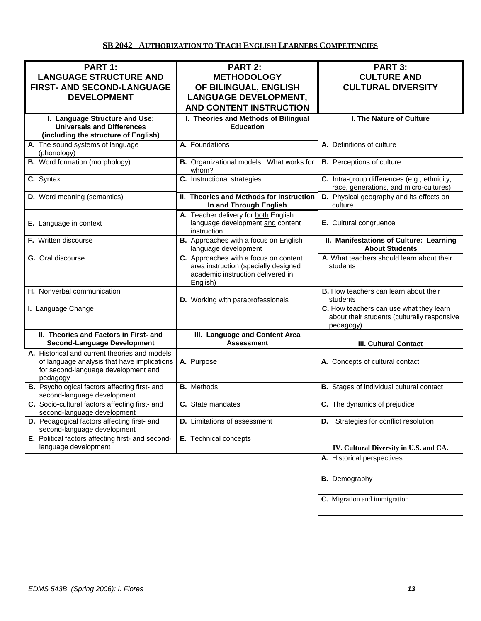## **SB 2042 - AUTHORIZATION TO TEACH ENGLISH LEARNERS COMPETENCIES**

| PART 1:<br><b>LANGUAGE STRUCTURE AND</b><br>FIRST- AND SECOND-LANGUAGE<br><b>DEVELOPMENT</b>                                                    | <b>PART 2:</b><br><b>METHODOLOGY</b><br>OF BILINGUAL, ENGLISH<br><b>LANGUAGE DEVELOPMENT,</b>                                  | <b>PART 3:</b><br><b>CULTURE AND</b><br><b>CULTURAL DIVERSITY</b>                                   |
|-------------------------------------------------------------------------------------------------------------------------------------------------|--------------------------------------------------------------------------------------------------------------------------------|-----------------------------------------------------------------------------------------------------|
|                                                                                                                                                 | <b>AND CONTENT INSTRUCTION</b>                                                                                                 |                                                                                                     |
| I. Language Structure and Use:<br><b>Universals and Differences</b><br>(including the structure of English)                                     | I. Theories and Methods of Bilingual<br><b>Education</b>                                                                       | I. The Nature of Culture                                                                            |
| A. The sound systems of language<br>(phonology)                                                                                                 | A. Foundations                                                                                                                 | A. Definitions of culture                                                                           |
| <b>B.</b> Word formation (morphology)                                                                                                           | B. Organizational models: What works for<br>whom?                                                                              | <b>B.</b> Perceptions of culture                                                                    |
| $\overline{c}$ . Syntax                                                                                                                         | C. Instructional strategies                                                                                                    | C. Intra-group differences (e.g., ethnicity,<br>race, generations, and micro-cultures)              |
| <b>D.</b> Word meaning (semantics)                                                                                                              | II. Theories and Methods for Instruction<br>In and Through English                                                             | D. Physical geography and its effects on<br>culture                                                 |
| E. Language in context                                                                                                                          | A. Teacher delivery for both English<br>language development and content<br>instruction                                        | E. Cultural congruence                                                                              |
| <b>F.</b> Written discourse                                                                                                                     | <b>B.</b> Approaches with a focus on English<br>language development                                                           | II. Manifestations of Culture: Learning<br><b>About Students</b>                                    |
| <b>G.</b> Oral discourse                                                                                                                        | C. Approaches with a focus on content<br>area instruction (specially designed<br>academic instruction delivered in<br>English) | A. What teachers should learn about their<br>students                                               |
| H. Nonverbal communication                                                                                                                      | D. Working with paraprofessionals                                                                                              | <b>B.</b> How teachers can learn about their<br>students                                            |
| I. Language Change                                                                                                                              |                                                                                                                                | C. How teachers can use what they learn<br>about their students (culturally responsive<br>pedagogy) |
| II. Theories and Factors in First- and<br><b>Second-Language Development</b>                                                                    | III. Language and Content Area<br><b>Assessment</b>                                                                            | <b>III. Cultural Contact</b>                                                                        |
| A. Historical and current theories and models<br>of language analysis that have implications<br>for second-language development and<br>pedagogy | A. Purpose                                                                                                                     | A. Concepts of cultural contact                                                                     |
| B. Psychological factors affecting first- and<br>second-language development                                                                    | <b>B.</b> Methods                                                                                                              | <b>B.</b> Stages of individual cultural contact                                                     |
| C. Socio-cultural factors affecting first- and<br>second-language development                                                                   | C. State mandates                                                                                                              | C. The dynamics of prejudice                                                                        |
| D. Pedagogical factors affecting first- and<br>second-language development                                                                      | <b>D.</b> Limitations of assessment                                                                                            | <b>D.</b> Strategies for conflict resolution                                                        |
| E. Political factors affecting first- and second-<br>language development                                                                       | E. Technical concepts                                                                                                          | IV. Cultural Diversity in U.S. and CA.                                                              |
|                                                                                                                                                 |                                                                                                                                | A. Historical perspectives                                                                          |
|                                                                                                                                                 |                                                                                                                                | <b>B.</b> Demography                                                                                |
|                                                                                                                                                 |                                                                                                                                | C. Migration and immigration                                                                        |